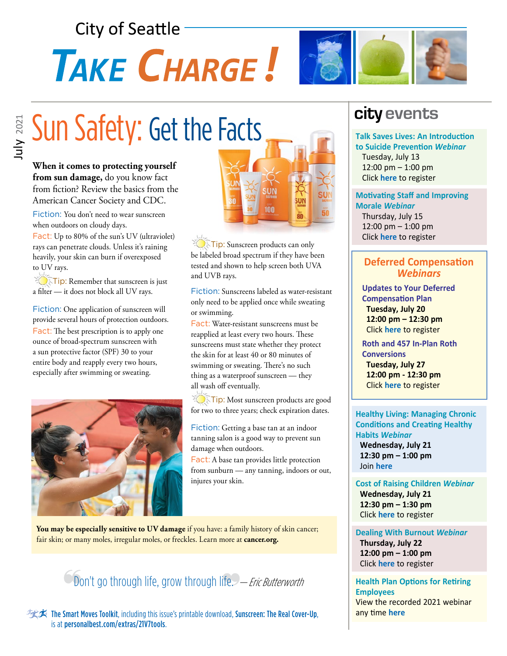## **City of Seattle**

# **TAKE CHARGE!**



# Bun Safety: Get the Facts

**When it comes to protecting yourself from sun damage,** do you know fact from fiction? Review the basics from the American Cancer Society and CDC.

Fiction: You don't need to wear sunscreen when outdoors on cloudy days.

Fact: Up to 80% of the sun's UV (ultraviolet) rays can penetrate clouds. Unless it's raining heavily, your skin can burn if overexposed to UV rays.

Tip: Remember that sunscreen is just a filter — it does not block all UV rays.

Fiction: One application of sunscreen will provide several hours of protection outdoors. Fact: The best prescription is to apply one ounce of broad-spectrum sunscreen with a sun protective factor (SPF) 30 to your entire body and reapply every two hours, especially after swimming or sweating.





**Tip:** Sunscreen products can only be labeled broad spectrum if they have been tested and shown to help screen both UVA and UVB rays.

Fiction: Sunscreens labeled as water-resistant only need to be applied once while sweating or swimming.

Fact: Water-resistant sunscreens must be reapplied at least every two hours. These sunscreens must state whether they protect the skin for at least 40 or 80 minutes of swimming or sweating. There's no such thing as a waterproof sunscreen — they all wash off eventually.

Tip: Most sunscreen products are good for two to three years; check expiration dates.

Fiction: Getting a base tan at an indoor tanning salon is a good way to prevent sun damage when outdoors.

Fact: A base tan provides little protection from sunburn — any tanning, indoors or out, injures your skin.

You may be especially sensitive to UV damage if you have: a family history of skin cancer; fair skin; or many moles, irregular moles, or freckles. Learn more at **cancer.org.**



实文 The Smart Moves Toolkit, including this issue's printable download, Sunscreen: The Real Cover-Up, is at personalbest.com/extras/21V7tools.

## **city events**

**Talk Saves Lives: An Introduction to Suicide Prevention** *Webinar* Tuesday, July 13 12:00 pm – 1:00 pm Click **[here](https://mylifevalues.webex.com/mylifevalues/onstage/g.php?MTID=eddd6fffdc0aa113f87587a38b728e94d)** to register

#### **Motivating Staff and Improving Morale** *Webinar*

 Thursday, July 15 12:00 pm – 1:00 pm Click **[here](https://mylifevalues.webex.com/mylifevalues/k2/j.php?MTID=t58c94fe11248094459cbf8b1e7069b4f)** to register

#### **Deferred Compensation**  *Webinars*

 **Updates to Your Deferred Compensation Plan Tuesday, July 20 12:00 pm – 12:30 pm** Click **[here](https://bit.ly/3zQWXR4)** to register

 **Roth and 457 In-Plan Roth Conversions Tuesday, July 27 12:00 pm - 12:30 pm** Click **[here](https://bit.ly/3zMXROl)** to register

**Healthy Living: Managing Chronic Conditions and Creating Healthy Habits** *Webinar*  **Wednesday, July 21 12:30 pm – 1:00 pm** Join **[here](https://kponline.webex.com/ec3300/eventcenter/enroll/join.do?confId=190322318369661688&theAction=detail&path=program_detail&siteurl=kponline&confViewID=190322318369661688&internalProgramTicketUnList=4832534b000000051aca69ffd7d5da4f0c56a7b1564bc797ba408bd85c655db6fb2320e62b964ecb&MK=1337536922)**

**Cost of Raising Children** *Webinar*  **Wednesday, July 21 12:30 pm – 1:30 pm** Click **[here](https://register.gotowebinar.com/register/4438637596692554764)** to register

**Dealing With Burnout** *Webinar*  **Thursday, July 22 12:00 pm – 1:00 pm** Click **[here](https://mylifevalues.webex.com/mylifevalues/k2/j.php?MTID=tad199fa5b1b1b44b7396ea5d382f08dd)** to register

**Health Plan Options for Retiring Employees** View the recorded 2021 webinar any time **[here](https://www.seattle.gov/Documents/Departments/HumanResources/Benefits/Presentations/Audio_Only_Health_Plan_Options_Slide_Master_2020.mp4)**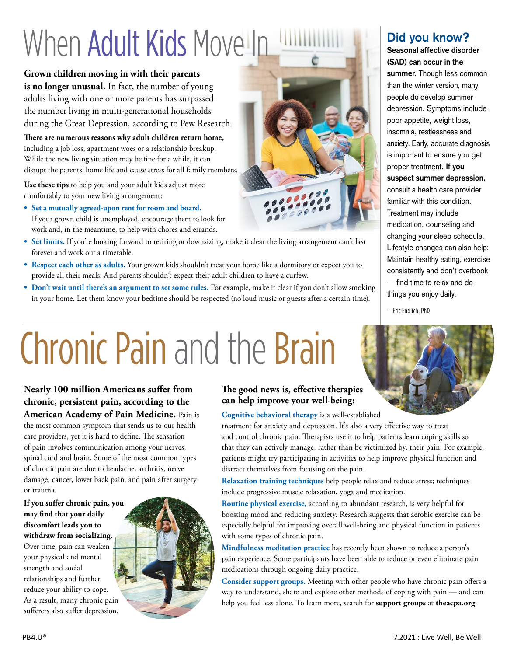## When Adult Kids Move In

**Grown children moving in with their parents is no longer unusual.** In fact, the number of young adults living with one or more parents has surpassed the number living in multi-generational households during the Great Depression, according to Pew Research.

**There are numerous reasons why adult children return home,**  including a job loss, apartment woes or a relationship breakup. While the new living situation may be fine for a while, it can disrupt the parents' home life and cause stress for all family members.

**Use these tips** to help you and your adult kids adjust more comfortably to your new living arrangement:

- **• Set a mutually agreed-upon rent for room and board.**  If your grown child is unemployed, encourage them to look for work and, in the meantime, to help with chores and errands.
- **• Set limits.** If you're looking forward to retiring or downsizing, make it clear the living arrangement can't last forever and work out a timetable.
- **• Respect each other as adults.** Your grown kids shouldn't treat your home like a dormitory or expect you to provide all their meals. And parents shouldn't expect their adult children to have a curfew.
- **• Don't wait until there's an argument to set some rules.** For example, make it clear if you don't allow smoking in your home. Let them know your bedtime should be respected (no loud music or guests after a certain time).



## **Did you know?**

**Seasonal affective disorder (SAD) can occur in the summer.** Though less common than the winter version, many people do develop summer depression. Symptoms include poor appetite, weight loss, insomnia, restlessness and anxiety. Early, accurate diagnosis is important to ensure you get proper treatment. **If you suspect summer depression,** consult a health care provider familiar with this condition. Treatment may include medication, counseling and changing your sleep schedule. Lifestyle changes can also help: Maintain healthy eating, exercise consistently and don't overbook — find time to relax and do things you enjoy daily.

— Eric Endlich, PhD

## Chronic Pain and the Brain

**Nearly 100 million Americans suffer from chronic, persistent pain, according to the American Academy of Pain Medicine.** Pain is the most common symptom that sends us to our health care providers, yet it is hard to define. The sensation of pain involves communication among your nerves, spinal cord and brain. Some of the most common types of chronic pain are due to headache, arthritis, nerve damage, cancer, lower back pain, and pain after surgery or trauma.

**If you suffer chronic pain, you may find that your daily discomfort leads you to withdraw from socializing.** Over time, pain can weaken your physical and mental strength and social relationships and further reduce your ability to cope. As a result, many chronic pain sufferers also suffer depression.



#### **The good news is, effective therapies can help improve your well-being:**

**Cognitive behavioral therapy** is a well-established

treatment for anxiety and depression. It's also a very effective way to treat and control chronic pain. Therapists use it to help patients learn coping skills so that they can actively manage, rather than be victimized by, their pain. For example, patients might try participating in activities to help improve physical function and distract themselves from focusing on the pain.

**Relaxation training techniques** help people relax and reduce stress; techniques include progressive muscle relaxation, yoga and meditation.

**Routine physical exercise,** according to abundant research, is very helpful for boosting mood and reducing anxiety. Research suggests that aerobic exercise can be especially helpful for improving overall well-being and physical function in patients with some types of chronic pain.

**Mindfulness meditation practice** has recently been shown to reduce a person's pain experience. Some participants have been able to reduce or even eliminate pain medications through ongoing daily practice.

**Consider support groups.** Meeting with other people who have chronic pain offers a way to understand, share and explore other methods of coping with pain — and can help you feel less alone. To learn more, search for **support groups** at **theacpa.org**.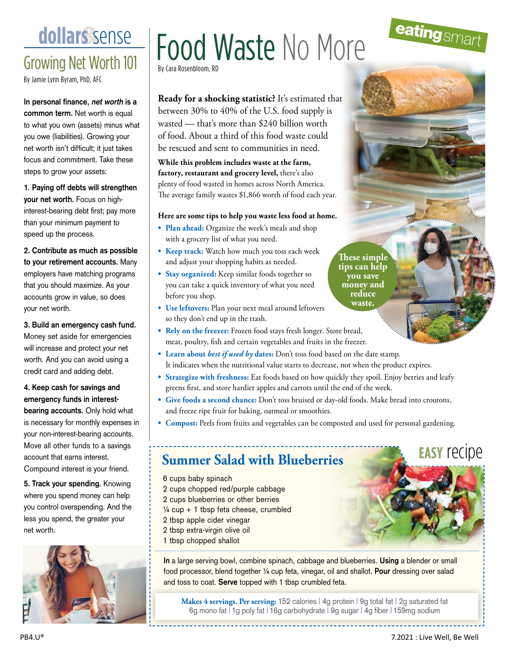Growing Net Worth 101

By Jamie Lynn Byram, PhD, AFC

**In personal finance, net worth is a common term.** Net worth is equal to what you own (assets) minus what you owe (liabilities). Growing your net worth isn't difficult; it just takes focus and commitment. Take these steps to grow your assets:

**1. Paying off debts will strengthen your net worth.** Focus on highinterest-bearing debt first; pay more than your minimum payment to speed up the process.

**2. Contribute as much as possible to your retirement accounts.** Many employers have matching programs that you should maximize. As your accounts grow in value, so does your net worth.

**3. Build an emergency cash fund.** Money set aside for emergencies will increase and protect your net worth. And you can avoid using a credit card and adding debt.

**4. Keep cash for savings and emergency funds in interestbearing accounts.** Only hold what is necessary for monthly expenses in your non-interest-bearing accounts. Move all other funds to a savings account that earns interest. Compound interest is your friend.

**5. Track your spending.** Knowing where you spend money can help you control overspending. And the less you spend, the greater your net worth.



## **dollars** sense | Food Waste No More By Cara Rosenbloom, RI

**Ready for a shocking statistic?** It's estimated that between 30% to 40% of the U.S. food supply is wasted — that's more than \$240 billion worth of food. About a third of this food waste could be rescued and sent to communities in need.

**While this problem includes waste at the farm, factory, restaurant and grocery level,** there's also plenty of food wasted in homes across North America. The average family wastes \$1,866 worth of food each year.

#### **Here are some tips to help you waste less food at home.**

- **• Plan ahead:** Organize the week's meals and shop with a grocery list of what you need.
- **• Keep track:** Watch how much you toss each week and adjust your shopping habits as needed.
- **• Stay organized:** Keep similar foods together so you can take a quick inventory of what you need before you shop.
- **• Use leftovers:** Plan your next meal around leftovers so they don't end up in the trash.
- **• Rely on the freezer:** Frozen food stays fresh longer. Store bread, meat, poultry, fish and certain vegetables and fruits in the freezer.
- **• Learn about** *best if used by* **dates:** Don't toss food based on the date stamp. It indicates when the nutritional value starts to decrease, not when the product expires.
- **• Strategize with freshness:** Eat foods based on how quickly they spoil. Enjoy berries and leafy greens first, and store hardier apples and carrots until the end of the week.
- **• Give foods a second chance:** Don't toss bruised or day-old foods. Make bread into croutons, and freeze ripe fruit for baking, oatmeal or smoothies.
- **• Compost:** Peels from fruits and vegetables can be composted and used for personal gardening.

## **Summer Salad with Blueberries**

- 6 cups baby spinach
- 2 cups chopped red/purple cabbage
- 2 cups blueberries or other berries
- $\frac{1}{4}$  cup + 1 tbsp feta cheese, crumbled
- 2 tbsp apple cider vinegar
- 2 tbsp extra-virgin olive oil
- 1 tbsp chopped shallot

**In** a large serving bowl, combine spinach, cabbage and blueberries. **Using** a blender or small food processor, blend together ¼ cup feta, vinegar, oil and shallot. **Pour** dressing over salad and toss to coat. **Serve** topped with 1 tbsp crumbled feta.

Makes 4 servings. Per serving: 152 calories | 4g protein | 9g total fat | 2g saturated fat 6g mono fat | 1g poly fat | 16g carbohydrate | 9g sugar | 4g fiber | 159mg sodium

**These simple tips can help you save money and reduce waste.**

**easy** recipe

eatingsmar